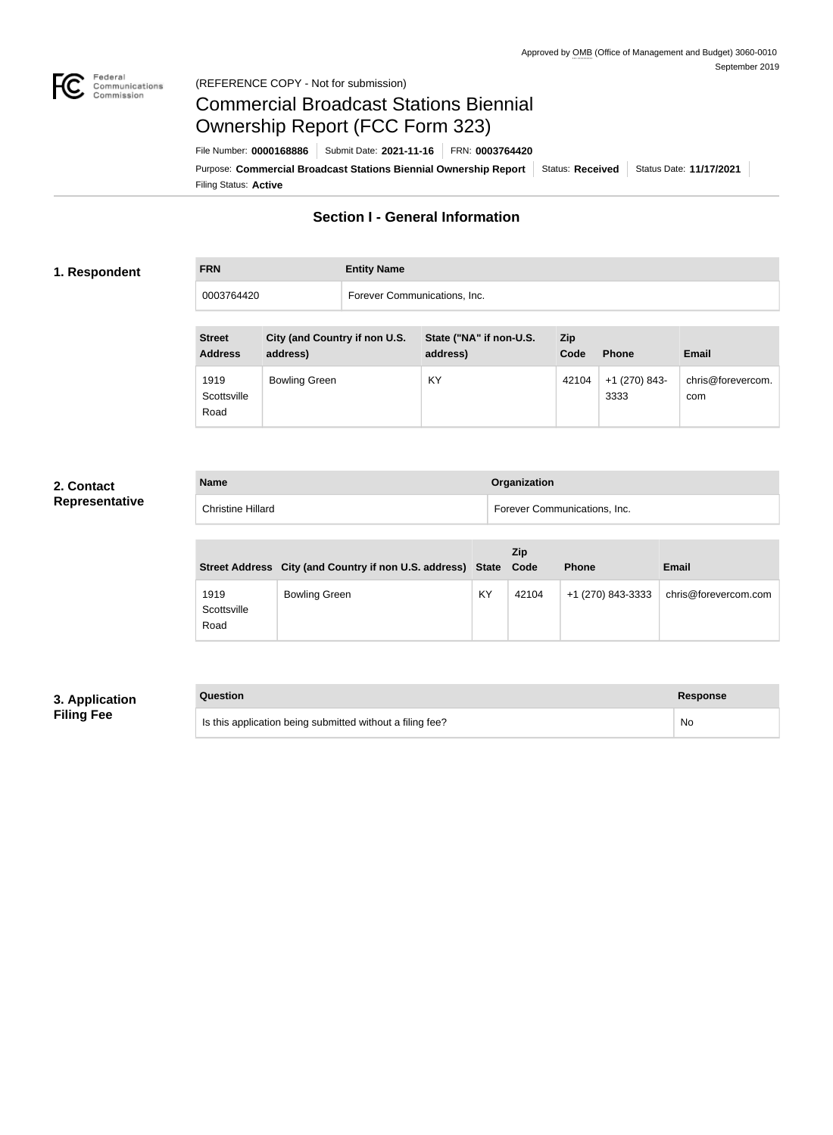

#### Federal<br>Communications<br>Commission (REFERENCE COPY - Not for submission)

# Commercial Broadcast Stations Biennial Ownership Report (FCC Form 323)

Filing Status: **Active** Purpose: Commercial Broadcast Stations Biennial Ownership Report Status: Received Status Date: 11/17/2021 File Number: **0000168886** Submit Date: **2021-11-16** FRN: **0003764420**

## **Section I - General Information**

#### **1. Respondent**

**FRN Entity Name** 0003764420 Forever Communications, Inc.

| <b>Street</b><br><b>Address</b> | City (and Country if non U.S.<br>address) | State ("NA" if non-U.S.<br>address) | Zip<br>Code | <b>Phone</b>          | <b>Email</b>             |
|---------------------------------|-------------------------------------------|-------------------------------------|-------------|-----------------------|--------------------------|
| 1919<br>Scottsville<br>Road     | <b>Bowling Green</b>                      | KY                                  | 42104       | +1 (270) 843-<br>3333 | chris@forevercom.<br>com |

### **2. Contact Representative**

| <b>Name</b>              | Organization                 |
|--------------------------|------------------------------|
| <b>Christine Hillard</b> | Forever Communications, Inc. |

|                             | Street Address City (and Country if non U.S. address) State |    | <b>Zip</b><br>Code | <b>Phone</b>      | <b>Email</b>         |
|-----------------------------|-------------------------------------------------------------|----|--------------------|-------------------|----------------------|
| 1919<br>Scottsville<br>Road | <b>Bowling Green</b>                                        | KY | 42104              | +1 (270) 843-3333 | chris@forevercom.com |

## **3. Application Filing Fee**

| Question                                                  | Response |
|-----------------------------------------------------------|----------|
| Is this application being submitted without a filing fee? | No       |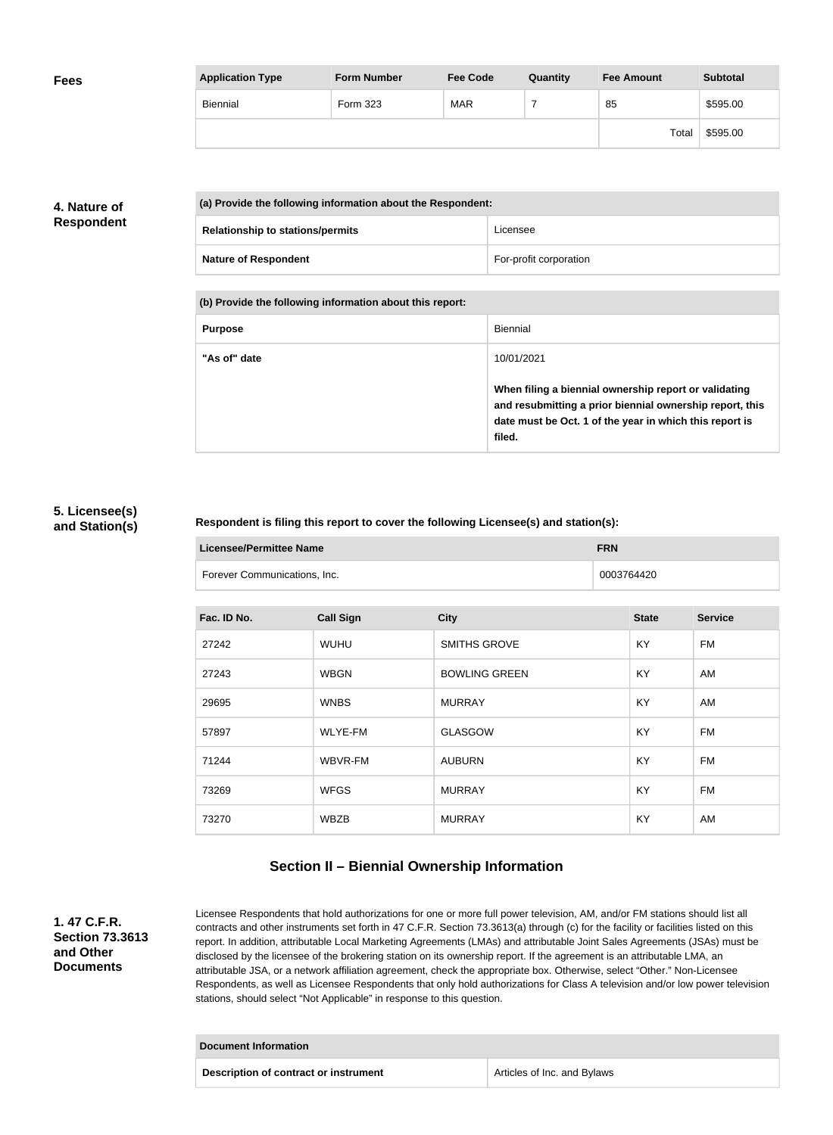| <b>Fees</b> | <b>Application Type</b> | <b>Form Number</b> | <b>Fee Code</b> | Quantity | <b>Fee Amount</b> | <b>Subtotal</b> |
|-------------|-------------------------|--------------------|-----------------|----------|-------------------|-----------------|
|             | Biennial                | Form 323           | <b>MAR</b>      |          | 85                | \$595.00        |
|             |                         |                    |                 |          | Total             | \$595.00        |

## **4. Nature of Respondent**

| (a) Provide the following information about the Respondent: |                                         |                        |
|-------------------------------------------------------------|-----------------------------------------|------------------------|
|                                                             | <b>Relationship to stations/permits</b> | Licensee               |
|                                                             | <b>Nature of Respondent</b>             | For-profit corporation |

**(b) Provide the following information about this report:**

| <b>Purpose</b> | Biennial                                                                                                                                                                               |
|----------------|----------------------------------------------------------------------------------------------------------------------------------------------------------------------------------------|
| "As of" date   | 10/01/2021                                                                                                                                                                             |
|                | When filing a biennial ownership report or validating<br>and resubmitting a prior biennial ownership report, this<br>date must be Oct. 1 of the year in which this report is<br>filed. |

#### **5. Licensee(s) and Station(s)**

#### **Respondent is filing this report to cover the following Licensee(s) and station(s):**

| <b>Licensee/Permittee Name</b> | <b>FRN</b> |
|--------------------------------|------------|
| Forever Communications, Inc.   | 0003764420 |

| Fac. ID No. | <b>Call Sign</b> | <b>City</b>          | <b>State</b> | <b>Service</b> |
|-------------|------------------|----------------------|--------------|----------------|
| 27242       | <b>WUHU</b>      | <b>SMITHS GROVE</b>  | KY           | <b>FM</b>      |
| 27243       | <b>WBGN</b>      | <b>BOWLING GREEN</b> | KY           | AM             |
| 29695       | <b>WNBS</b>      | <b>MURRAY</b>        | KY           | AM             |
| 57897       | <b>WLYE-FM</b>   | <b>GLASGOW</b>       | <b>KY</b>    | <b>FM</b>      |
| 71244       | WBVR-FM          | <b>AUBURN</b>        | KY           | <b>FM</b>      |
| 73269       | <b>WFGS</b>      | <b>MURRAY</b>        | KY           | <b>FM</b>      |
| 73270       | <b>WBZB</b>      | <b>MURRAY</b>        | KY           | AM             |

## **Section II – Biennial Ownership Information**

**1. 47 C.F.R. Section 73.3613 and Other Documents**

Licensee Respondents that hold authorizations for one or more full power television, AM, and/or FM stations should list all contracts and other instruments set forth in 47 C.F.R. Section 73.3613(a) through (c) for the facility or facilities listed on this report. In addition, attributable Local Marketing Agreements (LMAs) and attributable Joint Sales Agreements (JSAs) must be disclosed by the licensee of the brokering station on its ownership report. If the agreement is an attributable LMA, an attributable JSA, or a network affiliation agreement, check the appropriate box. Otherwise, select "Other." Non-Licensee Respondents, as well as Licensee Respondents that only hold authorizations for Class A television and/or low power television stations, should select "Not Applicable" in response to this question.

| <b>Document Information</b>           |                             |
|---------------------------------------|-----------------------------|
| Description of contract or instrument | Articles of Inc. and Bylaws |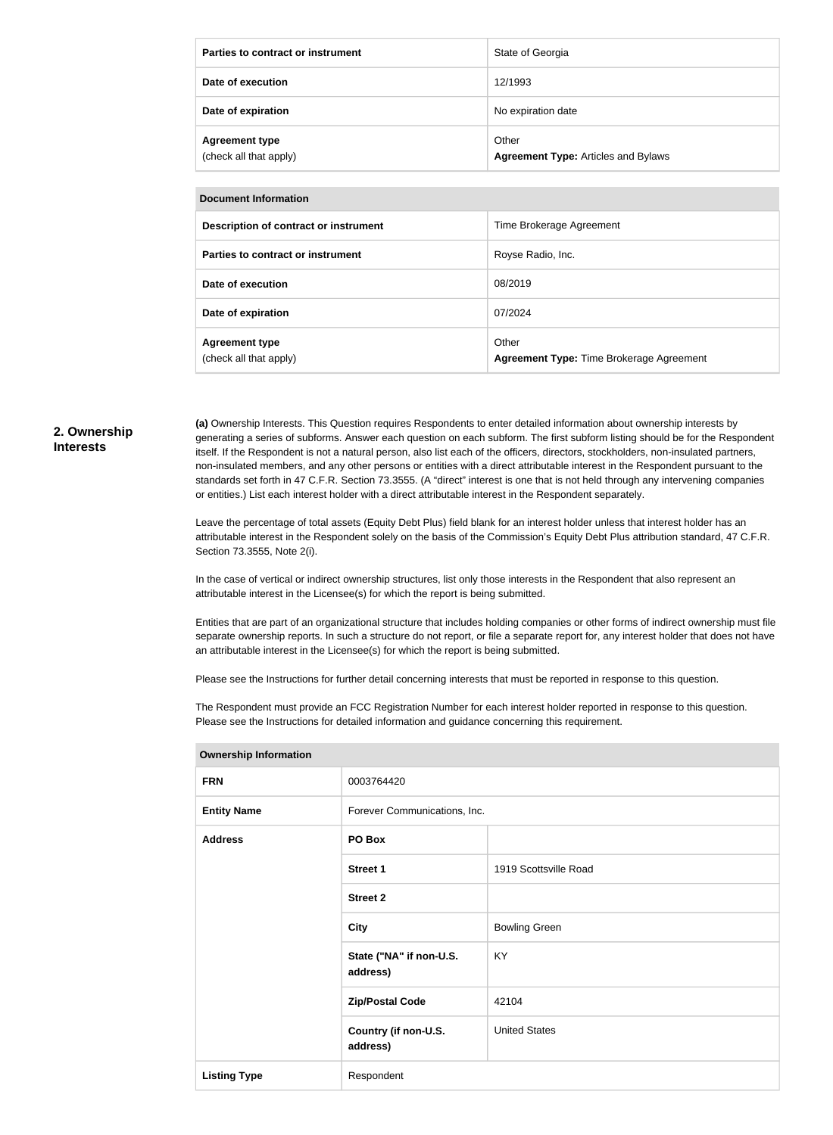| Parties to contract or instrument               | State of Georgia                                    |
|-------------------------------------------------|-----------------------------------------------------|
| Date of execution                               | 12/1993                                             |
| Date of expiration                              | No expiration date                                  |
| <b>Agreement type</b><br>(check all that apply) | Other<br><b>Agreement Type: Articles and Bylaws</b> |

| Document Information |  |
|----------------------|--|

| POGUNGIR INISHIRKISH                            |                                                   |  |
|-------------------------------------------------|---------------------------------------------------|--|
| Description of contract or instrument           | Time Brokerage Agreement                          |  |
| Parties to contract or instrument               | Royse Radio, Inc.                                 |  |
| Date of execution                               | 08/2019                                           |  |
| Date of expiration                              | 07/2024                                           |  |
| <b>Agreement type</b><br>(check all that apply) | Other<br>Agreement Type: Time Brokerage Agreement |  |

#### **2. Ownership Interests**

**(a)** Ownership Interests. This Question requires Respondents to enter detailed information about ownership interests by generating a series of subforms. Answer each question on each subform. The first subform listing should be for the Respondent itself. If the Respondent is not a natural person, also list each of the officers, directors, stockholders, non-insulated partners, non-insulated members, and any other persons or entities with a direct attributable interest in the Respondent pursuant to the standards set forth in 47 C.F.R. Section 73.3555. (A "direct" interest is one that is not held through any intervening companies or entities.) List each interest holder with a direct attributable interest in the Respondent separately.

Leave the percentage of total assets (Equity Debt Plus) field blank for an interest holder unless that interest holder has an attributable interest in the Respondent solely on the basis of the Commission's Equity Debt Plus attribution standard, 47 C.F.R. Section 73.3555, Note 2(i).

In the case of vertical or indirect ownership structures, list only those interests in the Respondent that also represent an attributable interest in the Licensee(s) for which the report is being submitted.

Entities that are part of an organizational structure that includes holding companies or other forms of indirect ownership must file separate ownership reports. In such a structure do not report, or file a separate report for, any interest holder that does not have an attributable interest in the Licensee(s) for which the report is being submitted.

Please see the Instructions for further detail concerning interests that must be reported in response to this question.

The Respondent must provide an FCC Registration Number for each interest holder reported in response to this question. Please see the Instructions for detailed information and guidance concerning this requirement.

| <b>FRN</b><br>0003764420<br>Forever Communications, Inc.<br><b>Entity Name</b><br>PO Box<br><b>Address</b><br><b>Street 1</b><br>1919 Scottsville Road<br><b>Street 2</b><br><b>Bowling Green</b><br><b>City</b><br>State ("NA" if non-U.S.<br>KY<br>address)<br>42104<br><b>Zip/Postal Code</b><br><b>United States</b><br>Country (if non-U.S.<br>address)<br>Respondent<br><b>Listing Type</b> | <b>OWNERSHIP INTO HIGHON</b> |  |  |
|---------------------------------------------------------------------------------------------------------------------------------------------------------------------------------------------------------------------------------------------------------------------------------------------------------------------------------------------------------------------------------------------------|------------------------------|--|--|
|                                                                                                                                                                                                                                                                                                                                                                                                   |                              |  |  |
|                                                                                                                                                                                                                                                                                                                                                                                                   |                              |  |  |
|                                                                                                                                                                                                                                                                                                                                                                                                   |                              |  |  |
|                                                                                                                                                                                                                                                                                                                                                                                                   |                              |  |  |
|                                                                                                                                                                                                                                                                                                                                                                                                   |                              |  |  |
|                                                                                                                                                                                                                                                                                                                                                                                                   |                              |  |  |
|                                                                                                                                                                                                                                                                                                                                                                                                   |                              |  |  |
|                                                                                                                                                                                                                                                                                                                                                                                                   |                              |  |  |
|                                                                                                                                                                                                                                                                                                                                                                                                   |                              |  |  |
|                                                                                                                                                                                                                                                                                                                                                                                                   |                              |  |  |

**Ownership Information**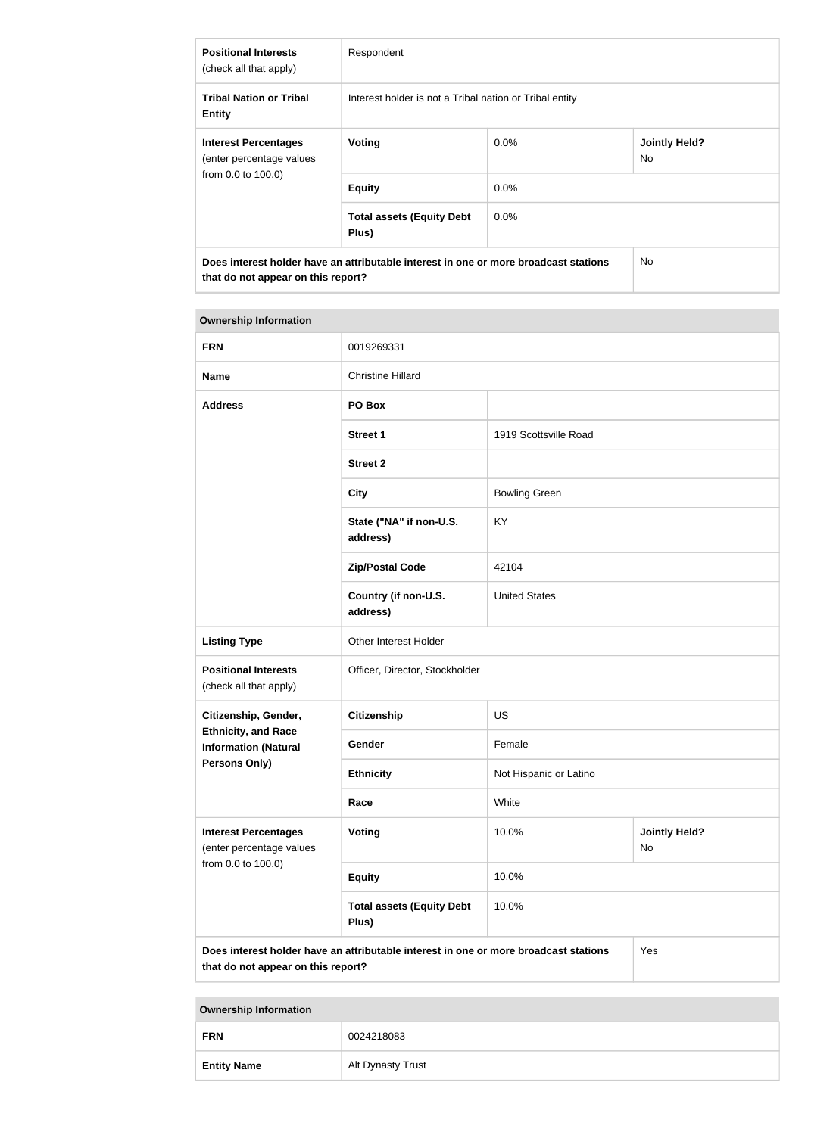| <b>Positional Interests</b><br>(check all that apply)                                                                      | Respondent                                              |         |                             |
|----------------------------------------------------------------------------------------------------------------------------|---------------------------------------------------------|---------|-----------------------------|
| <b>Tribal Nation or Tribal</b><br><b>Entity</b>                                                                            | Interest holder is not a Tribal nation or Tribal entity |         |                             |
| <b>Interest Percentages</b><br>(enter percentage values<br>from 0.0 to 100.0)                                              | Voting                                                  | $0.0\%$ | <b>Jointly Held?</b><br>No. |
|                                                                                                                            | <b>Equity</b>                                           | $0.0\%$ |                             |
|                                                                                                                            | <b>Total assets (Equity Debt</b><br>Plus)               | $0.0\%$ |                             |
| Does interest holder have an attributable interest in one or more broadcast stations<br>that do not appear on this report? |                                                         | No.     |                             |

#### **Ownership Information**

| <b>FRN</b>                                                                    | 0019269331                                                                           |                        |                            |
|-------------------------------------------------------------------------------|--------------------------------------------------------------------------------------|------------------------|----------------------------|
| <b>Name</b>                                                                   | <b>Christine Hillard</b>                                                             |                        |                            |
| <b>Address</b>                                                                | PO Box                                                                               |                        |                            |
|                                                                               | <b>Street 1</b>                                                                      | 1919 Scottsville Road  |                            |
|                                                                               | <b>Street 2</b>                                                                      |                        |                            |
|                                                                               | <b>City</b>                                                                          | <b>Bowling Green</b>   |                            |
|                                                                               | State ("NA" if non-U.S.<br>address)                                                  | KY                     |                            |
|                                                                               | <b>Zip/Postal Code</b>                                                               | 42104                  |                            |
|                                                                               | Country (if non-U.S.<br>address)                                                     | <b>United States</b>   |                            |
| <b>Listing Type</b>                                                           | Other Interest Holder                                                                |                        |                            |
| <b>Positional Interests</b><br>(check all that apply)                         | Officer, Director, Stockholder                                                       |                        |                            |
| Citizenship, Gender,                                                          | <b>Citizenship</b>                                                                   | <b>US</b>              |                            |
| <b>Ethnicity, and Race</b><br><b>Information (Natural</b>                     | Gender                                                                               | Female                 |                            |
| Persons Only)                                                                 | <b>Ethnicity</b>                                                                     | Not Hispanic or Latino |                            |
|                                                                               | Race                                                                                 | White                  |                            |
| <b>Interest Percentages</b><br>(enter percentage values<br>from 0.0 to 100.0) | Voting                                                                               | 10.0%                  | <b>Jointly Held?</b><br>No |
|                                                                               | <b>Equity</b>                                                                        | 10.0%                  |                            |
|                                                                               | <b>Total assets (Equity Debt</b><br>Plus)                                            | 10.0%                  |                            |
| that do not appear on this report?                                            | Does interest holder have an attributable interest in one or more broadcast stations |                        | Yes                        |

**Ownership Information**

| <b>FRN</b>         | 0024218083        |  |
|--------------------|-------------------|--|
| <b>Entity Name</b> | Alt Dynasty Trust |  |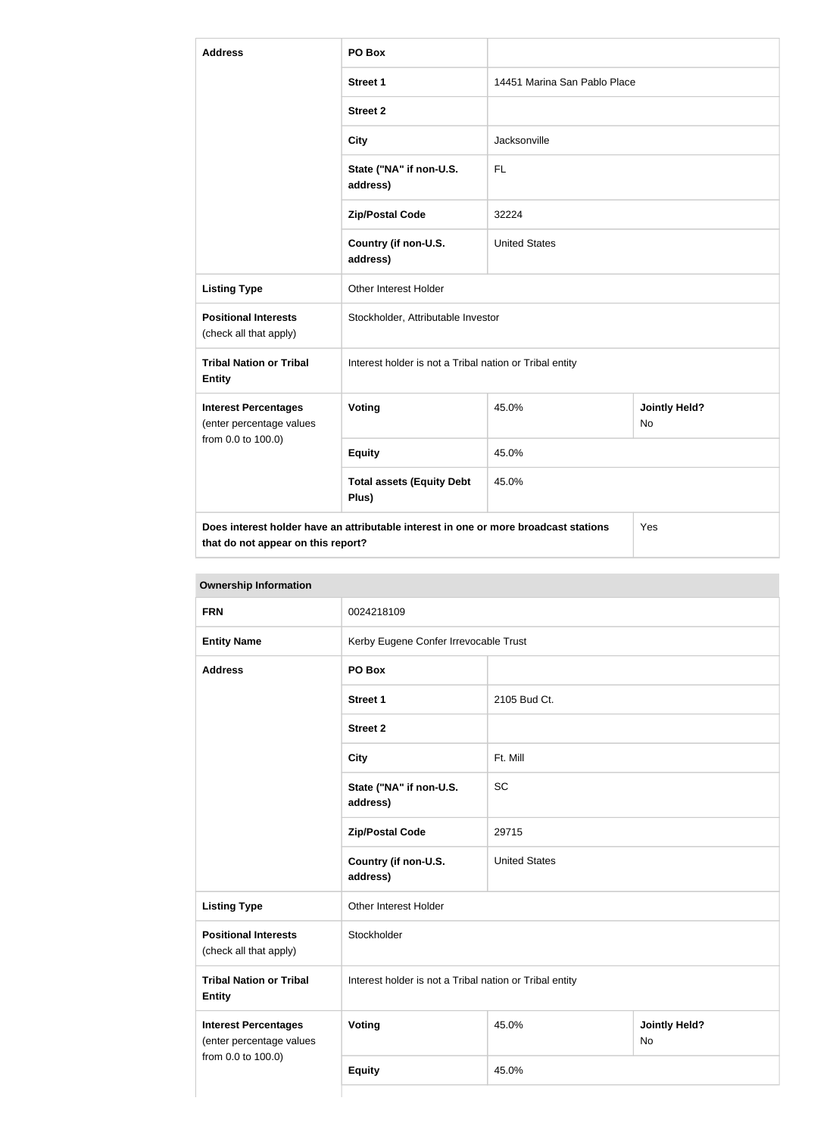| <b>Address</b>                                          | PO Box                                                                               |                              |                                   |
|---------------------------------------------------------|--------------------------------------------------------------------------------------|------------------------------|-----------------------------------|
|                                                         | <b>Street 1</b>                                                                      | 14451 Marina San Pablo Place |                                   |
|                                                         | <b>Street 2</b>                                                                      |                              |                                   |
|                                                         | <b>City</b>                                                                          | Jacksonville                 |                                   |
|                                                         | State ("NA" if non-U.S.<br>address)                                                  | FL.                          |                                   |
|                                                         | <b>Zip/Postal Code</b>                                                               | 32224                        |                                   |
|                                                         | Country (if non-U.S.<br>address)                                                     | <b>United States</b>         |                                   |
| <b>Listing Type</b>                                     | Other Interest Holder                                                                |                              |                                   |
| <b>Positional Interests</b><br>(check all that apply)   | Stockholder, Attributable Investor                                                   |                              |                                   |
| <b>Tribal Nation or Tribal</b><br><b>Entity</b>         | Interest holder is not a Tribal nation or Tribal entity                              |                              |                                   |
| <b>Interest Percentages</b><br>(enter percentage values | Voting                                                                               | 45.0%                        | <b>Jointly Held?</b><br><b>No</b> |
| from 0.0 to 100.0)                                      | <b>Equity</b>                                                                        | 45.0%                        |                                   |
|                                                         | <b>Total assets (Equity Debt</b><br>Plus)                                            | 45.0%                        |                                   |
| that do not appear on this report?                      | Does interest holder have an attributable interest in one or more broadcast stations |                              | Yes                               |

| <b>Ownership Information</b>                            |                                                         |                                     |  |
|---------------------------------------------------------|---------------------------------------------------------|-------------------------------------|--|
| <b>FRN</b>                                              | 0024218109                                              |                                     |  |
| <b>Entity Name</b>                                      | Kerby Eugene Confer Irrevocable Trust                   |                                     |  |
| <b>Address</b>                                          | PO Box                                                  |                                     |  |
|                                                         | <b>Street 1</b>                                         | 2105 Bud Ct.                        |  |
|                                                         | <b>Street 2</b>                                         |                                     |  |
|                                                         | <b>City</b>                                             | Ft. Mill                            |  |
|                                                         | State ("NA" if non-U.S.<br>address)                     | <b>SC</b>                           |  |
|                                                         | <b>Zip/Postal Code</b>                                  | 29715                               |  |
|                                                         | Country (if non-U.S.<br>address)                        | <b>United States</b>                |  |
| <b>Listing Type</b>                                     | Other Interest Holder                                   |                                     |  |
| <b>Positional Interests</b><br>(check all that apply)   | Stockholder                                             |                                     |  |
| <b>Tribal Nation or Tribal</b><br><b>Entity</b>         | Interest holder is not a Tribal nation or Tribal entity |                                     |  |
| <b>Interest Percentages</b><br>(enter percentage values | Voting                                                  | <b>Jointly Held?</b><br>45.0%<br>No |  |
| from 0.0 to 100.0)                                      | <b>Equity</b>                                           | 45.0%                               |  |
|                                                         |                                                         |                                     |  |

#### **Ownership Information**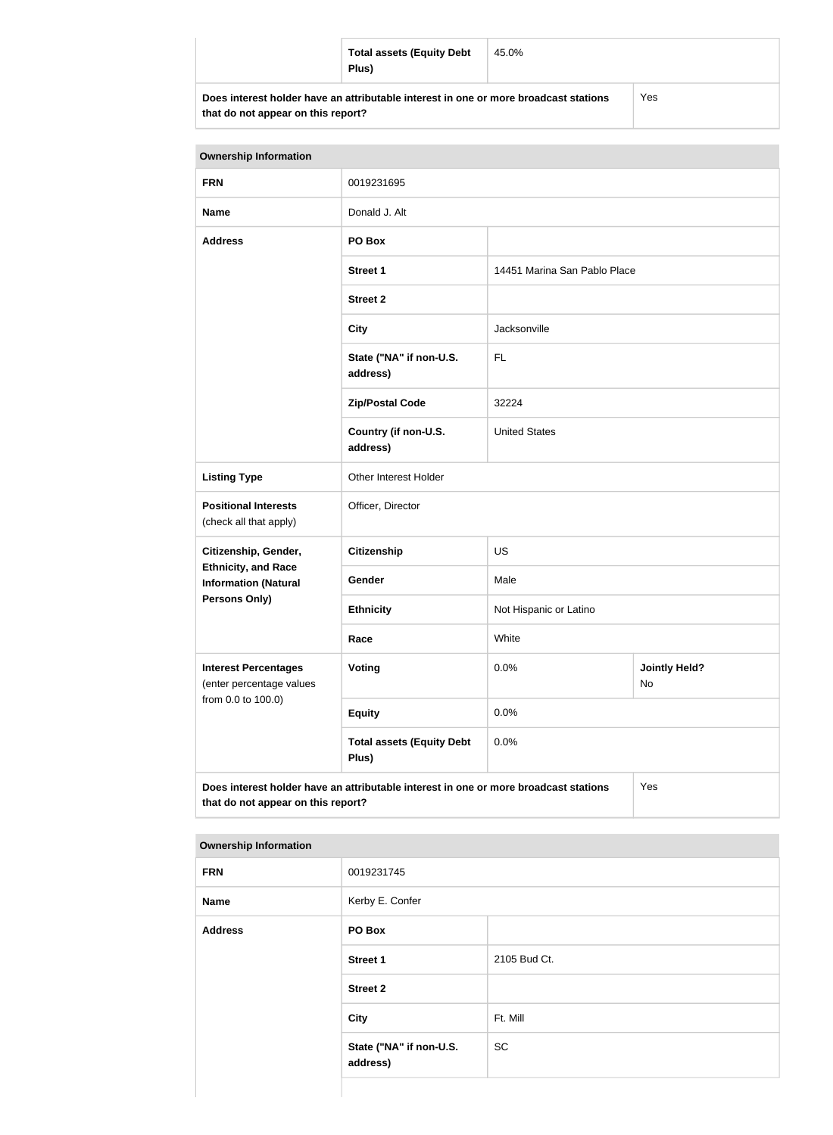| <b>Total assets (Equity Debt</b><br>Plus)                                            | 45.0% |     |
|--------------------------------------------------------------------------------------|-------|-----|
| Does interest holder have an attributable interest in one or more broadcast stations |       | Yes |

**that do not appear on this report?**

| <b>Ownership Information</b>                              |                                                                                      |                              |                            |
|-----------------------------------------------------------|--------------------------------------------------------------------------------------|------------------------------|----------------------------|
| <b>FRN</b>                                                | 0019231695                                                                           |                              |                            |
| <b>Name</b>                                               | Donald J. Alt                                                                        |                              |                            |
| <b>Address</b>                                            | PO Box                                                                               |                              |                            |
|                                                           | <b>Street 1</b>                                                                      | 14451 Marina San Pablo Place |                            |
|                                                           | <b>Street 2</b>                                                                      |                              |                            |
|                                                           | <b>City</b>                                                                          | Jacksonville                 |                            |
|                                                           | State ("NA" if non-U.S.<br>address)                                                  | <b>FL</b>                    |                            |
|                                                           | <b>Zip/Postal Code</b>                                                               | 32224                        |                            |
|                                                           | Country (if non-U.S.<br>address)                                                     | <b>United States</b>         |                            |
| <b>Listing Type</b>                                       | Other Interest Holder                                                                |                              |                            |
| <b>Positional Interests</b><br>(check all that apply)     | Officer, Director                                                                    |                              |                            |
| Citizenship, Gender,                                      | <b>Citizenship</b>                                                                   | <b>US</b>                    |                            |
| <b>Ethnicity, and Race</b><br><b>Information (Natural</b> | Gender                                                                               | Male                         |                            |
| <b>Persons Only)</b>                                      | <b>Ethnicity</b>                                                                     | Not Hispanic or Latino       |                            |
|                                                           | Race                                                                                 | White                        |                            |
| <b>Interest Percentages</b><br>(enter percentage values   | <b>Voting</b>                                                                        | 0.0%                         | <b>Jointly Held?</b><br>No |
| from 0.0 to 100.0)                                        | <b>Equity</b>                                                                        | 0.0%                         |                            |
|                                                           | <b>Total assets (Equity Debt</b><br>0.0%<br>Plus)                                    |                              |                            |
| that do not appear on this report?                        | Does interest holder have an attributable interest in one or more broadcast stations |                              | Yes                        |

| <b>Ownership Information</b> |  |
|------------------------------|--|
|------------------------------|--|

| ___            |                                     |              |
|----------------|-------------------------------------|--------------|
| <b>FRN</b>     | 0019231745                          |              |
| <b>Name</b>    | Kerby E. Confer                     |              |
| <b>Address</b> | PO Box                              |              |
|                | Street 1                            | 2105 Bud Ct. |
|                | <b>Street 2</b>                     |              |
|                | City                                | Ft. Mill     |
|                | State ("NA" if non-U.S.<br>address) | SC           |
|                |                                     |              |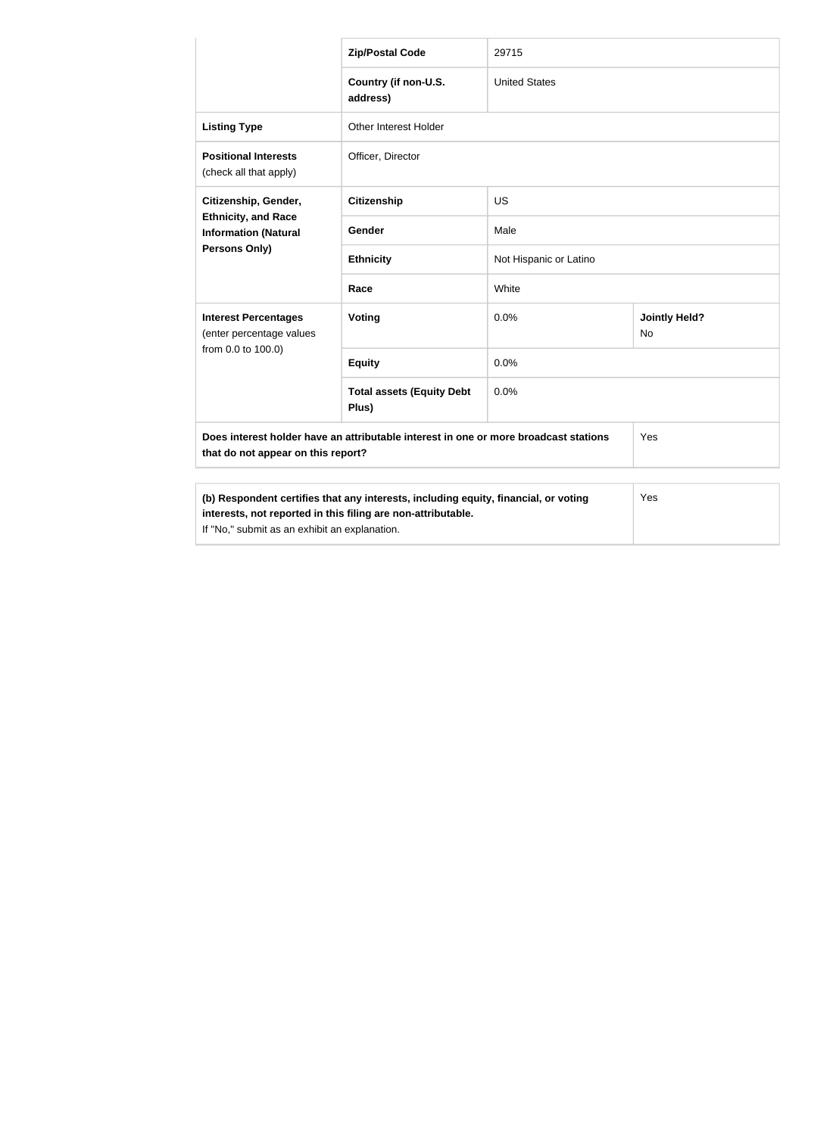|                                                                                                                                                     | <b>Zip/Postal Code</b>                    | 29715                  |                                   |
|-----------------------------------------------------------------------------------------------------------------------------------------------------|-------------------------------------------|------------------------|-----------------------------------|
|                                                                                                                                                     |                                           |                        |                                   |
|                                                                                                                                                     | Country (if non-U.S.<br>address)          | <b>United States</b>   |                                   |
| <b>Listing Type</b>                                                                                                                                 | Other Interest Holder                     |                        |                                   |
| <b>Positional Interests</b><br>(check all that apply)                                                                                               | Officer, Director                         |                        |                                   |
| Citizenship, Gender,                                                                                                                                | <b>Citizenship</b>                        | <b>US</b>              |                                   |
| <b>Ethnicity, and Race</b><br><b>Information (Natural</b><br>Persons Only)                                                                          | Gender                                    | Male                   |                                   |
|                                                                                                                                                     | <b>Ethnicity</b>                          | Not Hispanic or Latino |                                   |
|                                                                                                                                                     | Race                                      | White                  |                                   |
| <b>Interest Percentages</b><br>(enter percentage values                                                                                             | <b>Voting</b>                             | 0.0%                   | <b>Jointly Held?</b><br><b>No</b> |
| from 0.0 to 100.0)                                                                                                                                  | <b>Equity</b>                             | 0.0%                   |                                   |
|                                                                                                                                                     | <b>Total assets (Equity Debt</b><br>Plus) | 0.0%                   |                                   |
| Does interest holder have an attributable interest in one or more broadcast stations<br>that do not appear on this report?                          |                                           | Yes                    |                                   |
|                                                                                                                                                     |                                           |                        |                                   |
| (b) Respondent certifies that any interests, including equity, financial, or voting<br>interests, not reported in this filing are non-attributable. |                                           | Yes                    |                                   |

If "No," submit as an exhibit an explanation.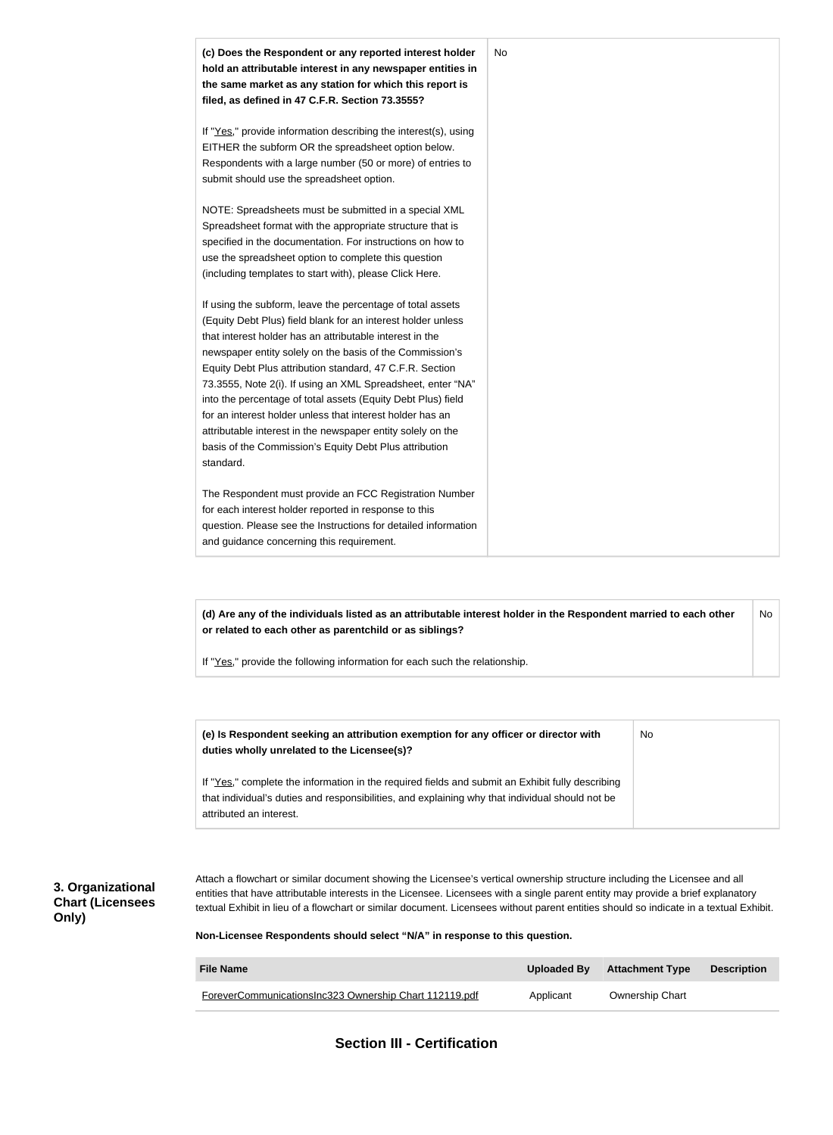

**(d) Are any of the individuals listed as an attributable interest holder in the Respondent married to each other or related to each other as parentchild or as siblings?** No

If "Yes," provide the following information for each such the relationship.

| (e) Is Respondent seeking an attribution exemption for any officer or director with<br>duties wholly unrelated to the Licensee(s)?                                                                                             | No |
|--------------------------------------------------------------------------------------------------------------------------------------------------------------------------------------------------------------------------------|----|
| If "Yes," complete the information in the required fields and submit an Exhibit fully describing<br>that individual's duties and responsibilities, and explaining why that individual should not be<br>attributed an interest. |    |

### **3. Organizational Chart (Licensees Only)**

Attach a flowchart or similar document showing the Licensee's vertical ownership structure including the Licensee and all entities that have attributable interests in the Licensee. Licensees with a single parent entity may provide a brief explanatory textual Exhibit in lieu of a flowchart or similar document. Licensees without parent entities should so indicate in a textual Exhibit.

**Non-Licensee Respondents should select "N/A" in response to this question.**

| <b>File Name</b>                                       | Uploaded By | <b>Attachment Type</b> | <b>Description</b> |
|--------------------------------------------------------|-------------|------------------------|--------------------|
| ForeverCommunicationsInc323 Ownership Chart 112119.pdf | Applicant   | <b>Ownership Chart</b> |                    |